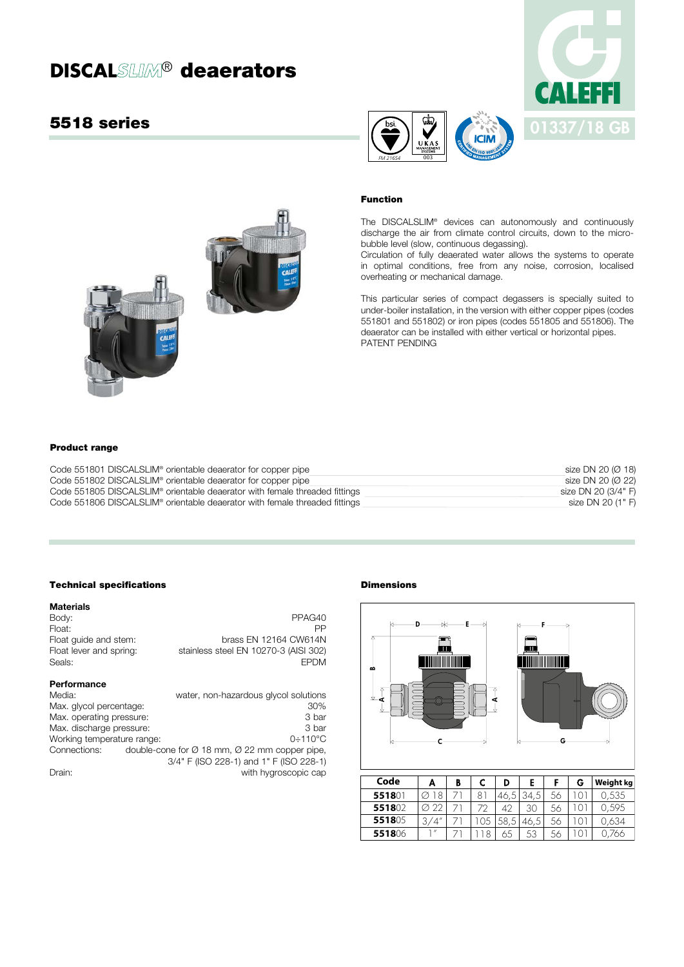# **DISCAL SLIM<sup>®</sup> deaerators**

# 5518 series





#### Function

The DISCALSLIM® devices can autonomously and continuously discharge the air from climate control circuits, down to the microbubble level (slow, continuous degassing).

Circulation of fully deaerated water allows the systems to operate in optimal conditions, free from any noise, corrosion, localised overheating or mechanical damage.

This particular series of compact degassers is specially suited to under-boiler installation, in the version with either copper pipes (codes 551801 and 551802) or iron pipes (codes 551805 and 551806). The deaerator can be installed with either vertical or horizontal pipes. PATENT PENDING



#### Product range

| Code 551801 DISCALSLIM <sup>®</sup> orientable deaerator for copper pipe               | size DN 20 (Ø 18)   |
|----------------------------------------------------------------------------------------|---------------------|
| Code 551802 DISCALSLIM <sup>®</sup> orientable deaerator for copper pipe               | size DN 20 (Ø 22)   |
| Code 551805 DISCALSLIM <sup>®</sup> orientable deaerator with female threaded fittings | size DN 20 (3/4" F) |
| Code 551806 DISCALSLIM <sup>®</sup> orientable deaerator with female threaded fittings | size DN 20 (1" F)   |

# Technical specifications

| <b>Materials</b>           |                                                                       |
|----------------------------|-----------------------------------------------------------------------|
| Body:                      | PPAG40                                                                |
| Float:                     | ΡP                                                                    |
| Float quide and stem:      | brass EN 12164 CW614N                                                 |
| Float lever and spring:    | stainless steel EN 10270-3 (AISI 302)                                 |
| Seals:                     | <b>EPDM</b>                                                           |
| Performance                |                                                                       |
| Media:                     | water, non-hazardous glycol solutions                                 |
| Max. givcol percentage:    | 30%                                                                   |
| Max. operating pressure:   | 3 bar                                                                 |
| Max. discharge pressure:   | 3 bar                                                                 |
| Working temperature range: | $0.110^{\circ}$ C                                                     |
| Connections:               | double-cone for $\varnothing$ 18 mm, $\varnothing$ 22 mm copper pipe, |
|                            | 3/4" F (ISO 228-1) and 1" F (ISO 228-1)                               |
| Drain:                     | with hygroscopic cap                                                  |

# Dimensions



| coae   | А           | в |   |      |      | G | Weight kg |
|--------|-------------|---|---|------|------|---|-----------|
| 551801 |             |   | 8 | 46.5 | 34.5 |   | 0.535     |
| 551802 | ⊘ '         |   |   | 42   | 30   |   | 0.595     |
| 551805 | 3/4''       |   |   | 58.5 | 46.5 |   | 0.634     |
| 551806 | $^{\prime}$ |   |   |      | 53   |   | 766       |